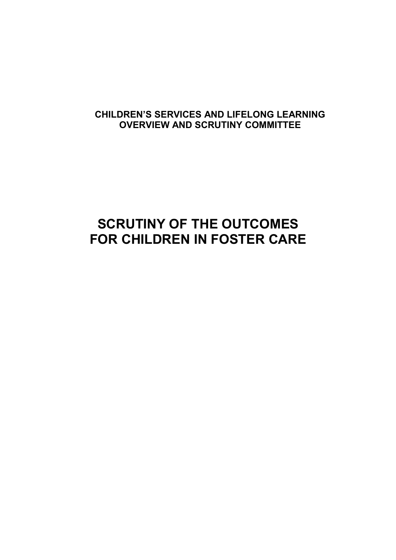# CHILDREN'S SERVICES AND LIFELONG LEARNING OVERVIEW AND SCRUTINY COMMITTEE

# SCRUTINY OF THE OUTCOMES FOR CHILDREN IN FOSTER CARE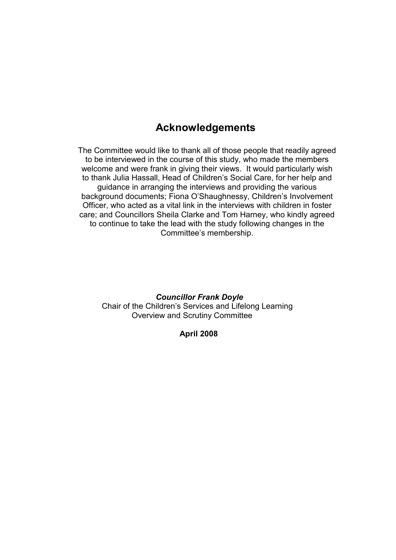# Acknowledgements

The Committee would like to thank all of those people that readily agreed to be interviewed in the course of this study, who made the members welcome and were frank in giving their views. It would particularly wish to thank Julia Hassall, Head of Children's Social Care, for her help and guidance in arranging the interviews and providing the various background documents; Fiona O'Shaughnessy, Children's Involvement Officer, who acted as a vital link in the interviews with children in foster care; and Councillors Sheila Clarke and Tom Harney, who kindly agreed to continue to take the lead with the study following changes in the Committee's membership.

Councillor Frank Doyle Chair of the Children's Services and Lifelong Learning Overview and Scrutiny Committee

#### April 2008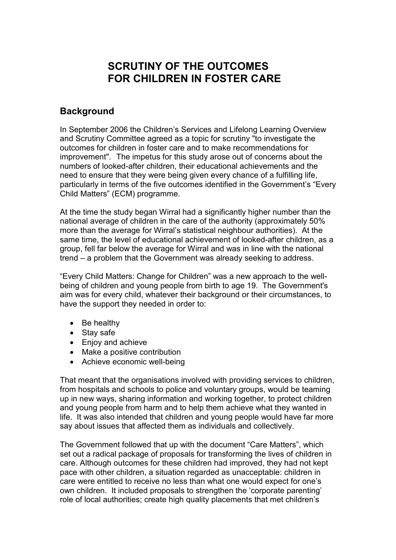# SCRUTINY OF THE OUTCOMES FOR CHILDREN IN FOSTER CARE

## **Background**

In September 2006 the Children's Services and Lifelong Learning Overview and Scrutiny Committee agreed as a topic for scrutiny "to investigate the outcomes for children in foster care and to make recommendations for improvement". The impetus for this study arose out of concerns about the numbers of looked-after children, their educational achievements and the need to ensure that they were being given every chance of a fulfilling life, particularly in terms of the five outcomes identified in the Government's "Every Child Matters" (ECM) programme.

At the time the study began Wirral had a significantly higher number than the national average of children in the care of the authority (approximately 50% more than the average for Wirral's statistical neighbour authorities). At the same time, the level of educational achievement of looked-after children, as a group, fell far below the average for Wirral and was in line with the national trend – a problem that the Government was already seeking to address.

"Every Child Matters: Change for Children" was a new approach to the wellbeing of children and young people from birth to age 19. The Government's aim was for every child, whatever their background or their circumstances, to have the support they needed in order to:

- Be healthy
- Stay safe
- Enjoy and achieve
- Make a positive contribution
- Achieve economic well-being

That meant that the organisations involved with providing services to children, from hospitals and schools to police and voluntary groups, would be teaming up in new ways, sharing information and working together, to protect children and young people from harm and to help them achieve what they wanted in life. It was also intended that children and young people would have far more say about issues that affected them as individuals and collectively.

The Government followed that up with the document "Care Matters", which set out a radical package of proposals for transforming the lives of children in care. Although outcomes for these children had improved, they had not kept pace with other children, a situation regarded as unacceptable: children in care were entitled to receive no less than what one would expect for one's own children. It included proposals to strengthen the 'corporate parenting' role of local authorities; create high quality placements that met children's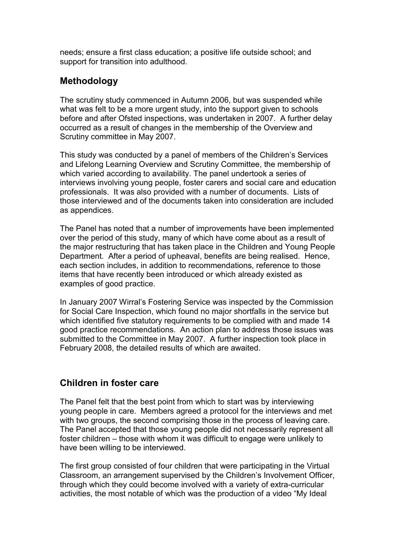needs; ensure a first class education; a positive life outside school; and support for transition into adulthood.

# Methodology

The scrutiny study commenced in Autumn 2006, but was suspended while what was felt to be a more urgent study, into the support given to schools before and after Ofsted inspections, was undertaken in 2007. A further delay occurred as a result of changes in the membership of the Overview and Scrutiny committee in May 2007.

This study was conducted by a panel of members of the Children's Services and Lifelong Learning Overview and Scrutiny Committee, the membership of which varied according to availability. The panel undertook a series of interviews involving young people, foster carers and social care and education professionals. It was also provided with a number of documents. Lists of those interviewed and of the documents taken into consideration are included as appendices.

The Panel has noted that a number of improvements have been implemented over the period of this study, many of which have come about as a result of the major restructuring that has taken place in the Children and Young People Department. After a period of upheaval, benefits are being realised. Hence, each section includes, in addition to recommendations, reference to those items that have recently been introduced or which already existed as examples of good practice.

In January 2007 Wirral's Fostering Service was inspected by the Commission for Social Care Inspection, which found no major shortfalls in the service but which identified five statutory requirements to be complied with and made 14 good practice recommendations. An action plan to address those issues was submitted to the Committee in May 2007. A further inspection took place in February 2008, the detailed results of which are awaited.

# Children in foster care

The Panel felt that the best point from which to start was by interviewing young people in care. Members agreed a protocol for the interviews and met with two groups, the second comprising those in the process of leaving care. The Panel accepted that those young people did not necessarily represent all foster children – those with whom it was difficult to engage were unlikely to have been willing to be interviewed.

The first group consisted of four children that were participating in the Virtual Classroom, an arrangement supervised by the Children's Involvement Officer, through which they could become involved with a variety of extra-curricular activities, the most notable of which was the production of a video "My Ideal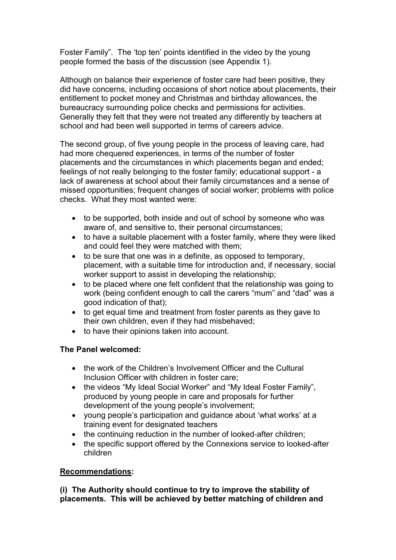Foster Family". The 'top ten' points identified in the video by the young people formed the basis of the discussion (see Appendix 1).

Although on balance their experience of foster care had been positive, they did have concerns, including occasions of short notice about placements, their entitlement to pocket money and Christmas and birthday allowances, the bureaucracy surrounding police checks and permissions for activities. Generally they felt that they were not treated any differently by teachers at school and had been well supported in terms of careers advice.

The second group, of five young people in the process of leaving care, had had more chequered experiences, in terms of the number of foster placements and the circumstances in which placements began and ended; feelings of not really belonging to the foster family; educational support - a lack of awareness at school about their family circumstances and a sense of missed opportunities; frequent changes of social worker; problems with police checks. What they most wanted were:

- to be supported, both inside and out of school by someone who was aware of, and sensitive to, their personal circumstances;
- to have a suitable placement with a foster family, where they were liked and could feel they were matched with them;
- to be sure that one was in a definite, as opposed to temporary, placement, with a suitable time for introduction and, if necessary, social worker support to assist in developing the relationship;
- to be placed where one felt confident that the relationship was going to work (being confident enough to call the carers "mum" and "dad" was a good indication of that);
- to get equal time and treatment from foster parents as they gave to their own children, even if they had misbehaved;
- to have their opinions taken into account.

### The Panel welcomed:

- the work of the Children's Involvement Officer and the Cultural Inclusion Officer with children in foster care;
- the videos "My Ideal Social Worker" and "My Ideal Foster Family", produced by young people in care and proposals for further development of the young people's involvement;
- young people's participation and guidance about 'what works' at a training event for designated teachers
- the continuing reduction in the number of looked-after children;
- the specific support offered by the Connexions service to looked-after children

### Recommendations:

(i) The Authority should continue to try to improve the stability of placements. This will be achieved by better matching of children and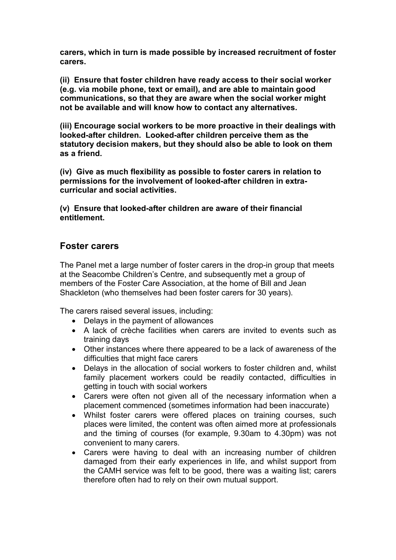carers, which in turn is made possible by increased recruitment of foster carers.

(ii) Ensure that foster children have ready access to their social worker (e.g. via mobile phone, text or email), and are able to maintain good communications, so that they are aware when the social worker might not be available and will know how to contact any alternatives.

(iii) Encourage social workers to be more proactive in their dealings with looked-after children. Looked-after children perceive them as the statutory decision makers, but they should also be able to look on them as a friend.

(iv) Give as much flexibility as possible to foster carers in relation to permissions for the involvement of looked-after children in extracurricular and social activities.

(v) Ensure that looked-after children are aware of their financial entitlement.

### Foster carers

The Panel met a large number of foster carers in the drop-in group that meets at the Seacombe Children's Centre, and subsequently met a group of members of the Foster Care Association, at the home of Bill and Jean Shackleton (who themselves had been foster carers for 30 years).

The carers raised several issues, including:

- Delays in the payment of allowances
- A lack of crèche facilities when carers are invited to events such as training days
- Other instances where there appeared to be a lack of awareness of the difficulties that might face carers
- Delays in the allocation of social workers to foster children and, whilst family placement workers could be readily contacted, difficulties in getting in touch with social workers
- Carers were often not given all of the necessary information when a placement commenced (sometimes information had been inaccurate)
- Whilst foster carers were offered places on training courses, such places were limited, the content was often aimed more at professionals and the timing of courses (for example, 9.30am to 4.30pm) was not convenient to many carers.
- Carers were having to deal with an increasing number of children damaged from their early experiences in life, and whilst support from the CAMH service was felt to be good, there was a waiting list; carers therefore often had to rely on their own mutual support.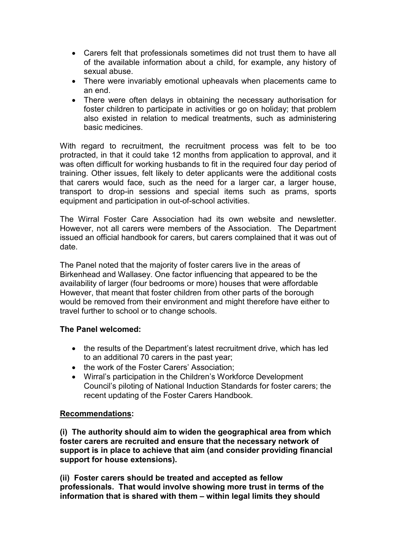- Carers felt that professionals sometimes did not trust them to have all of the available information about a child, for example, any history of sexual abuse.
- There were invariably emotional upheavals when placements came to an end.
- There were often delays in obtaining the necessary authorisation for foster children to participate in activities or go on holiday; that problem also existed in relation to medical treatments, such as administering basic medicines.

With regard to recruitment, the recruitment process was felt to be too protracted, in that it could take 12 months from application to approval, and it was often difficult for working husbands to fit in the required four day period of training. Other issues, felt likely to deter applicants were the additional costs that carers would face, such as the need for a larger car, a larger house, transport to drop-in sessions and special items such as prams, sports equipment and participation in out-of-school activities.

The Wirral Foster Care Association had its own website and newsletter. However, not all carers were members of the Association. The Department issued an official handbook for carers, but carers complained that it was out of date.

The Panel noted that the majority of foster carers live in the areas of Birkenhead and Wallasey. One factor influencing that appeared to be the availability of larger (four bedrooms or more) houses that were affordable However, that meant that foster children from other parts of the borough would be removed from their environment and might therefore have either to travel further to school or to change schools.

#### The Panel welcomed:

- the results of the Department's latest recruitment drive, which has led to an additional 70 carers in the past year;
- the work of the Foster Carers' Association;
- Wirral's participation in the Children's Workforce Development Council's piloting of National Induction Standards for foster carers; the recent updating of the Foster Carers Handbook.

#### Recommendations:

(i) The authority should aim to widen the geographical area from which foster carers are recruited and ensure that the necessary network of support is in place to achieve that aim (and consider providing financial support for house extensions).

(ii) Foster carers should be treated and accepted as fellow professionals. That would involve showing more trust in terms of the information that is shared with them – within legal limits they should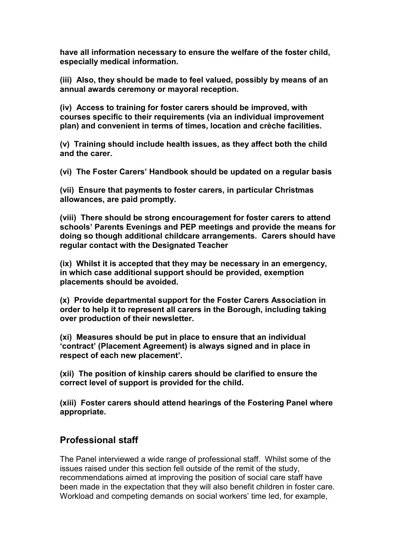have all information necessary to ensure the welfare of the foster child, especially medical information.

(iii) Also, they should be made to feel valued, possibly by means of an annual awards ceremony or mayoral reception.

(iv) Access to training for foster carers should be improved, with courses specific to their requirements (via an individual improvement plan) and convenient in terms of times, location and crèche facilities.

(v) Training should include health issues, as they affect both the child and the carer.

(vi) The Foster Carers' Handbook should be updated on a regular basis

(vii) Ensure that payments to foster carers, in particular Christmas allowances, are paid promptly.

(viii) There should be strong encouragement for foster carers to attend schools' Parents Evenings and PEP meetings and provide the means for doing so though additional childcare arrangements. Carers should have regular contact with the Designated Teacher

(ix) Whilst it is accepted that they may be necessary in an emergency, in which case additional support should be provided, exemption placements should be avoided.

(x) Provide departmental support for the Foster Carers Association in order to help it to represent all carers in the Borough, including taking over production of their newsletter.

(xi) Measures should be put in place to ensure that an individual 'contract' (Placement Agreement) is always signed and in place in respect of each new placement'.

(xii) The position of kinship carers should be clarified to ensure the correct level of support is provided for the child.

(xiii) Foster carers should attend hearings of the Fostering Panel where appropriate.

## Professional staff

The Panel interviewed a wide range of professional staff. Whilst some of the issues raised under this section fell outside of the remit of the study, recommendations aimed at improving the position of social care staff have been made in the expectation that they will also benefit children in foster care. Workload and competing demands on social workers' time led, for example,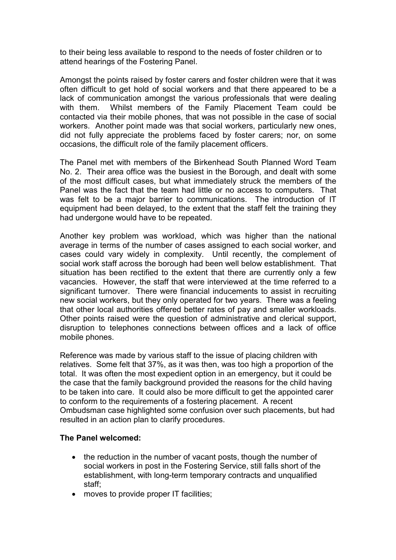to their being less available to respond to the needs of foster children or to attend hearings of the Fostering Panel.

Amongst the points raised by foster carers and foster children were that it was often difficult to get hold of social workers and that there appeared to be a lack of communication amongst the various professionals that were dealing with them. Whilst members of the Family Placement Team could be contacted via their mobile phones, that was not possible in the case of social workers. Another point made was that social workers, particularly new ones, did not fully appreciate the problems faced by foster carers; nor, on some occasions, the difficult role of the family placement officers.

The Panel met with members of the Birkenhead South Planned Word Team No. 2. Their area office was the busiest in the Borough, and dealt with some of the most difficult cases, but what immediately struck the members of the Panel was the fact that the team had little or no access to computers. That was felt to be a major barrier to communications. The introduction of IT equipment had been delayed, to the extent that the staff felt the training they had undergone would have to be repeated.

Another key problem was workload, which was higher than the national average in terms of the number of cases assigned to each social worker, and cases could vary widely in complexity. Until recently, the complement of social work staff across the borough had been well below establishment. That situation has been rectified to the extent that there are currently only a few vacancies. However, the staff that were interviewed at the time referred to a significant turnover. There were financial inducements to assist in recruiting new social workers, but they only operated for two years. There was a feeling that other local authorities offered better rates of pay and smaller workloads. Other points raised were the question of administrative and clerical support, disruption to telephones connections between offices and a lack of office mobile phones.

Reference was made by various staff to the issue of placing children with relatives. Some felt that 37%, as it was then, was too high a proportion of the total. It was often the most expedient option in an emergency, but it could be the case that the family background provided the reasons for the child having to be taken into care. It could also be more difficult to get the appointed carer to conform to the requirements of a fostering placement. A recent Ombudsman case highlighted some confusion over such placements, but had resulted in an action plan to clarify procedures.

#### The Panel welcomed:

- the reduction in the number of vacant posts, though the number of social workers in post in the Fostering Service, still falls short of the establishment, with long-term temporary contracts and unqualified staff;
- moves to provide proper IT facilities;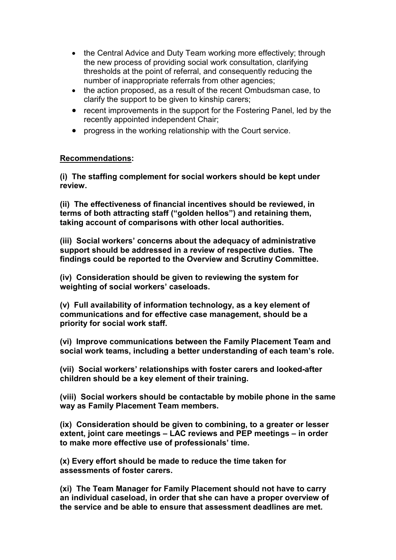- the Central Advice and Duty Team working more effectively; through the new process of providing social work consultation, clarifying thresholds at the point of referral, and consequently reducing the number of inappropriate referrals from other agencies;
- the action proposed, as a result of the recent Ombudsman case, to clarify the support to be given to kinship carers;
- recent improvements in the support for the Fostering Panel, led by the recently appointed independent Chair;
- progress in the working relationship with the Court service.

### Recommendations:

(i) The staffing complement for social workers should be kept under review.

(ii) The effectiveness of financial incentives should be reviewed, in terms of both attracting staff ("golden hellos") and retaining them, taking account of comparisons with other local authorities.

(iii) Social workers' concerns about the adequacy of administrative support should be addressed in a review of respective duties. The findings could be reported to the Overview and Scrutiny Committee.

(iv) Consideration should be given to reviewing the system for weighting of social workers' caseloads.

(v) Full availability of information technology, as a key element of communications and for effective case management, should be a priority for social work staff.

(vi) Improve communications between the Family Placement Team and social work teams, including a better understanding of each team's role.

(vii) Social workers' relationships with foster carers and looked-after children should be a key element of their training.

(viii) Social workers should be contactable by mobile phone in the same way as Family Placement Team members.

(ix) Consideration should be given to combining, to a greater or lesser extent, joint care meetings – LAC reviews and PEP meetings – in order to make more effective use of professionals' time.

(x) Every effort should be made to reduce the time taken for assessments of foster carers.

(xi) The Team Manager for Family Placement should not have to carry an individual caseload, in order that she can have a proper overview of the service and be able to ensure that assessment deadlines are met.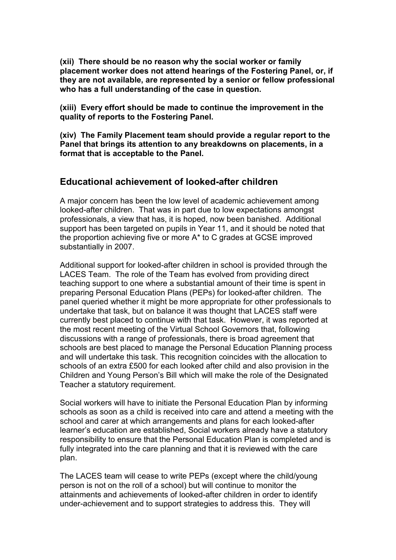(xii) There should be no reason why the social worker or family placement worker does not attend hearings of the Fostering Panel, or, if they are not available, are represented by a senior or fellow professional who has a full understanding of the case in question.

(xiii) Every effort should be made to continue the improvement in the quality of reports to the Fostering Panel.

(xiv) The Family Placement team should provide a regular report to the Panel that brings its attention to any breakdowns on placements, in a format that is acceptable to the Panel.

### Educational achievement of looked-after children

A major concern has been the low level of academic achievement among looked-after children. That was in part due to low expectations amongst professionals, a view that has, it is hoped, now been banished. Additional support has been targeted on pupils in Year 11, and it should be noted that the proportion achieving five or more A\* to C grades at GCSE improved substantially in 2007.

Additional support for looked-after children in school is provided through the LACES Team. The role of the Team has evolved from providing direct teaching support to one where a substantial amount of their time is spent in preparing Personal Education Plans (PEPs) for looked-after children. The panel queried whether it might be more appropriate for other professionals to undertake that task, but on balance it was thought that LACES staff were currently best placed to continue with that task. However, it was reported at the most recent meeting of the Virtual School Governors that, following discussions with a range of professionals, there is broad agreement that schools are best placed to manage the Personal Education Planning process and will undertake this task. This recognition coincides with the allocation to schools of an extra £500 for each looked after child and also provision in the Children and Young Person's Bill which will make the role of the Designated Teacher a statutory requirement.

Social workers will have to initiate the Personal Education Plan by informing schools as soon as a child is received into care and attend a meeting with the school and carer at which arrangements and plans for each looked-after learner's education are established, Social workers already have a statutory responsibility to ensure that the Personal Education Plan is completed and is fully integrated into the care planning and that it is reviewed with the care plan.

The LACES team will cease to write PEPs (except where the child/young person is not on the roll of a school) but will continue to monitor the attainments and achievements of looked-after children in order to identify under-achievement and to support strategies to address this. They will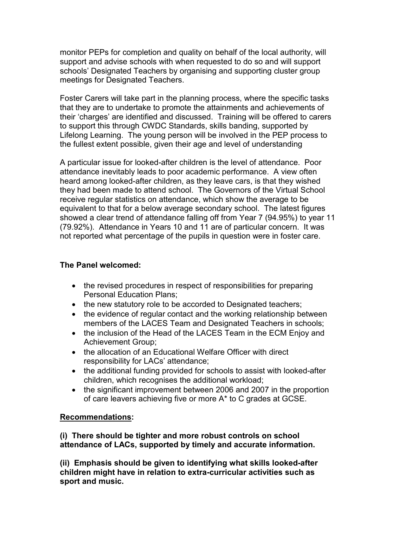monitor PEPs for completion and quality on behalf of the local authority, will support and advise schools with when requested to do so and will support schools' Designated Teachers by organising and supporting cluster group meetings for Designated Teachers.

Foster Carers will take part in the planning process, where the specific tasks that they are to undertake to promote the attainments and achievements of their 'charges' are identified and discussed. Training will be offered to carers to support this through CWDC Standards, skills banding, supported by Lifelong Learning. The young person will be involved in the PEP process to the fullest extent possible, given their age and level of understanding

A particular issue for looked-after children is the level of attendance. Poor attendance inevitably leads to poor academic performance. A view often heard among looked-after children, as they leave cars, is that they wished they had been made to attend school. The Governors of the Virtual School receive regular statistics on attendance, which show the average to be equivalent to that for a below average secondary school. The latest figures showed a clear trend of attendance falling off from Year 7 (94.95%) to year 11 (79.92%). Attendance in Years 10 and 11 are of particular concern. It was not reported what percentage of the pupils in question were in foster care.

#### The Panel welcomed:

- the revised procedures in respect of responsibilities for preparing Personal Education Plans;
- the new statutory role to be accorded to Designated teachers;
- the evidence of regular contact and the working relationship between members of the LACES Team and Designated Teachers in schools;
- the inclusion of the Head of the LACES Team in the ECM Enjoy and Achievement Group;
- the allocation of an Educational Welfare Officer with direct responsibility for LACs' attendance;
- the additional funding provided for schools to assist with looked-after children, which recognises the additional workload;
- the significant improvement between 2006 and 2007 in the proportion of care leavers achieving five or more A\* to C grades at GCSE.

#### Recommendations:

(i) There should be tighter and more robust controls on school attendance of LACs, supported by timely and accurate information.

(ii) Emphasis should be given to identifying what skills looked-after children might have in relation to extra-curricular activities such as sport and music.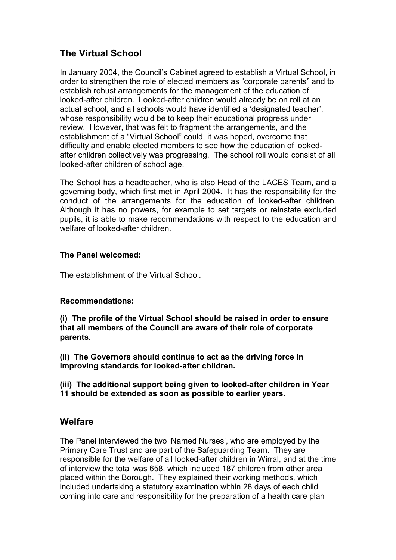# The Virtual School

In January 2004, the Council's Cabinet agreed to establish a Virtual School, in order to strengthen the role of elected members as "corporate parents" and to establish robust arrangements for the management of the education of looked-after children. Looked-after children would already be on roll at an actual school, and all schools would have identified a 'designated teacher', whose responsibility would be to keep their educational progress under review. However, that was felt to fragment the arrangements, and the establishment of a "Virtual School" could, it was hoped, overcome that difficulty and enable elected members to see how the education of lookedafter children collectively was progressing. The school roll would consist of all looked-after children of school age.

The School has a headteacher, who is also Head of the LACES Team, and a governing body, which first met in April 2004. It has the responsibility for the conduct of the arrangements for the education of looked-after children. Although it has no powers, for example to set targets or reinstate excluded pupils, it is able to make recommendations with respect to the education and welfare of looked-after children.

### The Panel welcomed:

The establishment of the Virtual School.

## Recommendations:

(i) The profile of the Virtual School should be raised in order to ensure that all members of the Council are aware of their role of corporate parents.

(ii) The Governors should continue to act as the driving force in improving standards for looked-after children.

(iii) The additional support being given to looked-after children in Year 11 should be extended as soon as possible to earlier years.

# Welfare

The Panel interviewed the two 'Named Nurses', who are employed by the Primary Care Trust and are part of the Safeguarding Team. They are responsible for the welfare of all looked-after children in Wirral, and at the time of interview the total was 658, which included 187 children from other area placed within the Borough. They explained their working methods, which included undertaking a statutory examination within 28 days of each child coming into care and responsibility for the preparation of a health care plan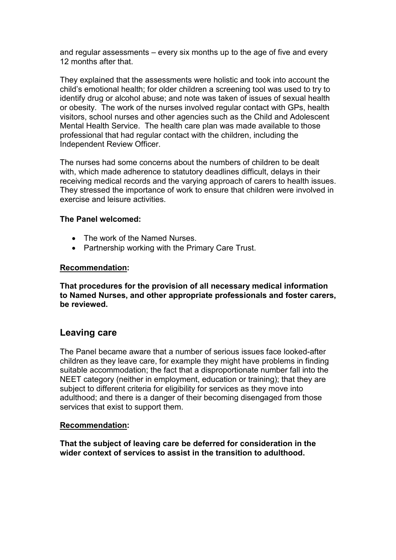and regular assessments – every six months up to the age of five and every 12 months after that.

They explained that the assessments were holistic and took into account the child's emotional health; for older children a screening tool was used to try to identify drug or alcohol abuse; and note was taken of issues of sexual health or obesity. The work of the nurses involved regular contact with GPs, health visitors, school nurses and other agencies such as the Child and Adolescent Mental Health Service. The health care plan was made available to those professional that had regular contact with the children, including the Independent Review Officer.

The nurses had some concerns about the numbers of children to be dealt with, which made adherence to statutory deadlines difficult, delays in their receiving medical records and the varying approach of carers to health issues. They stressed the importance of work to ensure that children were involved in exercise and leisure activities.

#### The Panel welcomed:

- The work of the Named Nurses
- Partnership working with the Primary Care Trust.

#### Recommendation:

That procedures for the provision of all necessary medical information to Named Nurses, and other appropriate professionals and foster carers, be reviewed.

## Leaving care

The Panel became aware that a number of serious issues face looked-after children as they leave care, for example they might have problems in finding suitable accommodation; the fact that a disproportionate number fall into the NEET category (neither in employment, education or training); that they are subject to different criteria for eligibility for services as they move into adulthood; and there is a danger of their becoming disengaged from those services that exist to support them.

#### Recommendation:

That the subject of leaving care be deferred for consideration in the wider context of services to assist in the transition to adulthood.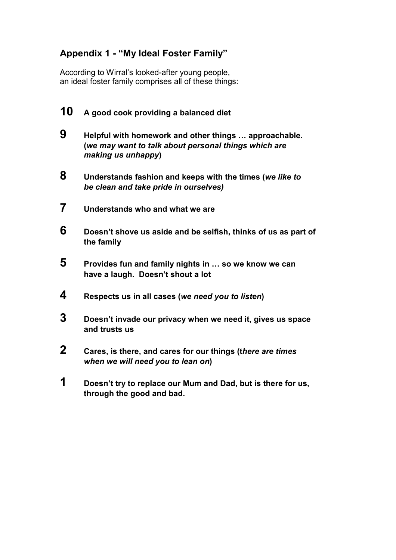# Appendix 1 - "My Ideal Foster Family"

According to Wirral's looked-after young people, an ideal foster family comprises all of these things:

- 10 A good cook providing a balanced diet 9 Helpful with homework and other things … approachable. (we may want to talk about personal things which are making us unhappy) 8 Understands fashion and keeps with the times (we like to be clean and take pride in ourselves)
- 7 Understands who and what we are
- $6$  Doesn't shove us aside and be selfish, thinks of us as part of the family
- **5** Provides fun and family nights in  $\ldots$  so we know we can have a laugh. Doesn't shout a lot
- 4 Respects us in all cases (we need you to listen)
- 3 Doesn't invade our privacy when we need it, gives us space and trusts us
- 2 Cares, is there, and cares for our things (there are times when we will need you to lean on)
- 1 Doesn't try to replace our Mum and Dad, but is there for us, through the good and bad.